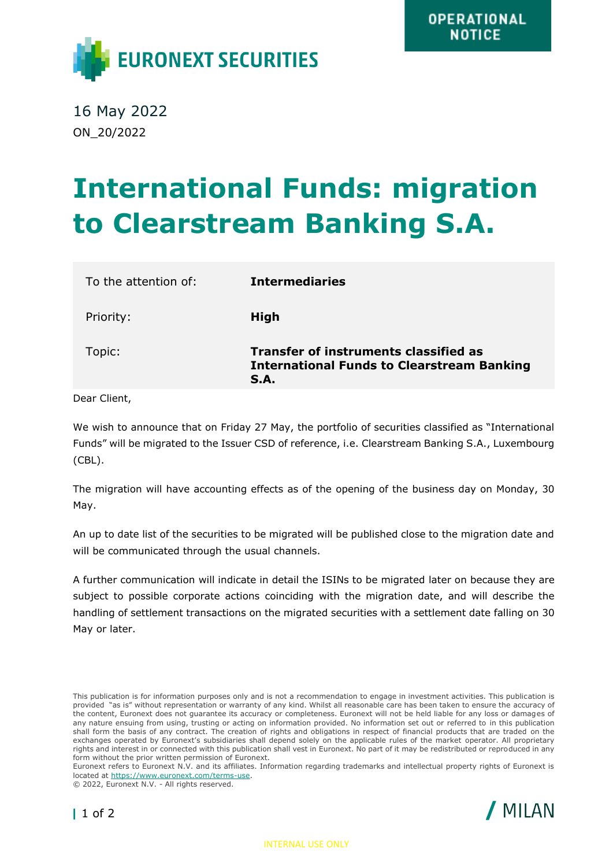

16 May 2022 ON\_20/2022

## **International Funds: migration to Clearstream Banking S.A.**

| To the attention of: | <b>Intermediaries</b>                                                                                     |
|----------------------|-----------------------------------------------------------------------------------------------------------|
| Priority:            | High                                                                                                      |
| Topic:               | <b>Transfer of instruments classified as</b><br><b>International Funds to Clearstream Banking</b><br>S.A. |

Dear Client,

We wish to announce that on Friday 27 May, the portfolio of securities classified as "International Funds" will be migrated to the Issuer CSD of reference, i.e. Clearstream Banking S.A., Luxembourg (CBL).

The migration will have accounting effects as of the opening of the business day on Monday, 30 May.

An up to date list of the securities to be migrated will be published close to the migration date and will be communicated through the usual channels.

A further communication will indicate in detail the ISINs to be migrated later on because they are subject to possible corporate actions coinciding with the migration date, and will describe the handling of settlement transactions on the migrated securities with a settlement date falling on 30 May or later.

© 2022, Euronext N.V. - All rights reserved.





This publication is for information purposes only and is not a recommendation to engage in investment activities. This publication is provided "as is" without representation or warranty of any kind. Whilst all reasonable care has been taken to ensure the accuracy of the content, Euronext does not guarantee its accuracy or completeness. Euronext will not be held liable for any loss or damages of any nature ensuing from using, trusting or acting on information provided. No information set out or referred to in this publication shall form the basis of any contract. The creation of rights and obligations in respect of financial products that are traded on the exchanges operated by Euronext's subsidiaries shall depend solely on the applicable rules of the market operator. All proprietary rights and interest in or connected with this publication shall vest in Euronext. No part of it may be redistributed or reproduced in any form without the prior written permission of Euronext.

Euronext refers to Euronext N.V. and its affiliates. Information regarding trademarks and intellectual property rights of Euronext is located at [https://www.euronext.com/terms-use.](https://www.euronext.com/terms-use)